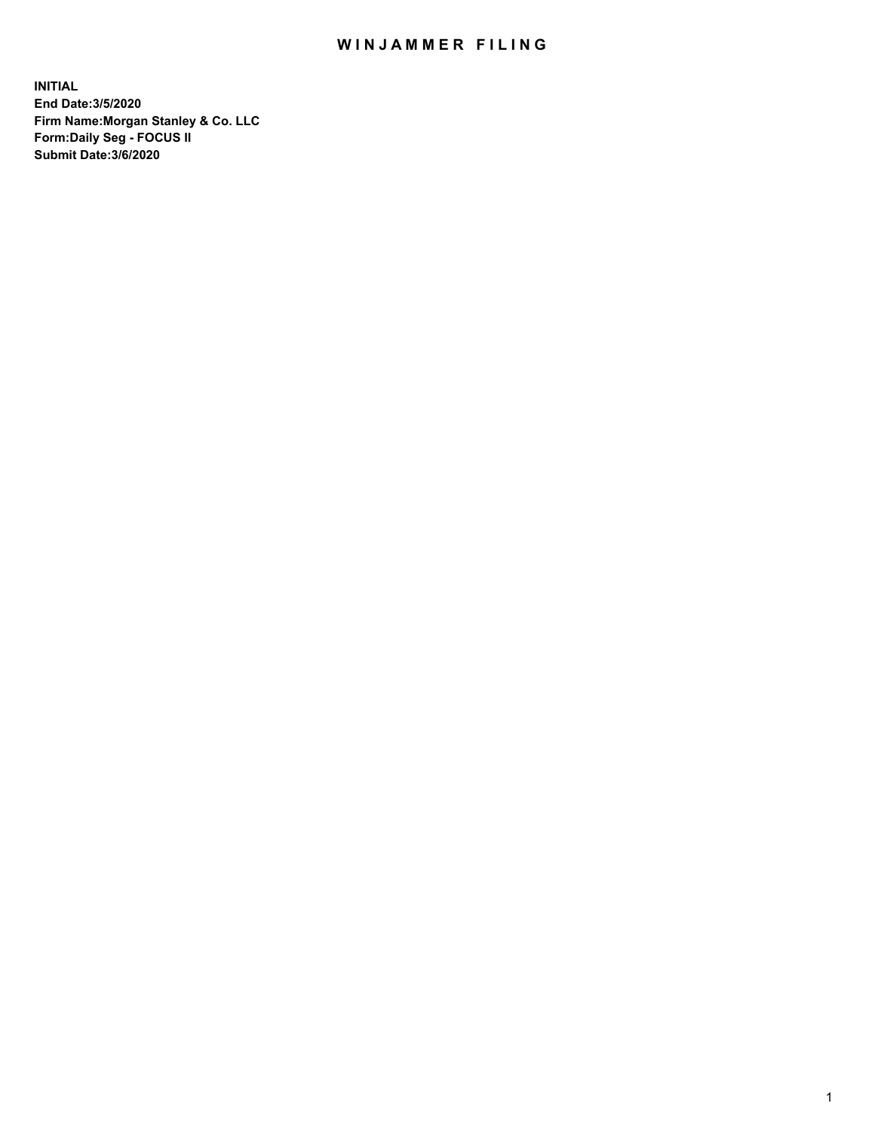## WIN JAMMER FILING

**INITIAL End Date:3/5/2020 Firm Name:Morgan Stanley & Co. LLC Form:Daily Seg - FOCUS II Submit Date:3/6/2020**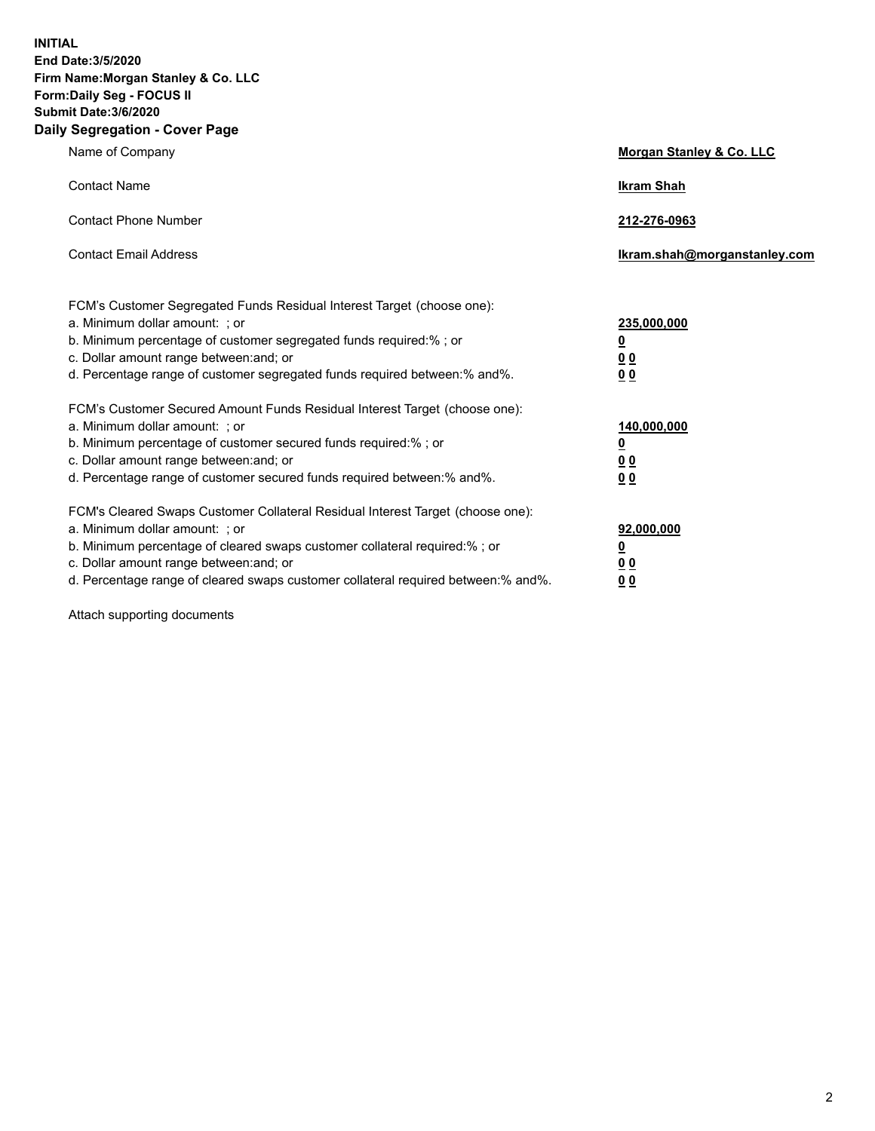**INITIAL End Date:3/5/2020 Firm Name:Morgan Stanley & Co. LLC Form:Daily Seg - FOCUS II Submit Date:3/6/2020 Daily Segregation - Cover Page**

| Name of Company                                                                                                                                                                                                                                                                                                                | <b>Morgan Stanley &amp; Co. LLC</b>                    |
|--------------------------------------------------------------------------------------------------------------------------------------------------------------------------------------------------------------------------------------------------------------------------------------------------------------------------------|--------------------------------------------------------|
| <b>Contact Name</b>                                                                                                                                                                                                                                                                                                            | <b>Ikram Shah</b>                                      |
| <b>Contact Phone Number</b>                                                                                                                                                                                                                                                                                                    | 212-276-0963                                           |
| <b>Contact Email Address</b>                                                                                                                                                                                                                                                                                                   | Ikram.shah@morganstanley.com                           |
| FCM's Customer Segregated Funds Residual Interest Target (choose one):<br>a. Minimum dollar amount: ; or<br>b. Minimum percentage of customer segregated funds required:% ; or<br>c. Dollar amount range between: and; or<br>d. Percentage range of customer segregated funds required between:% and%.                         | 235,000,000<br><u>0</u><br>0 Q<br>0 <sub>0</sub>       |
| FCM's Customer Secured Amount Funds Residual Interest Target (choose one):<br>a. Minimum dollar amount: ; or<br>b. Minimum percentage of customer secured funds required:% ; or<br>c. Dollar amount range between: and; or<br>d. Percentage range of customer secured funds required between: % and %.                         | 140,000,000<br><u>0</u><br><u>00</u><br>0 <sub>0</sub> |
| FCM's Cleared Swaps Customer Collateral Residual Interest Target (choose one):<br>a. Minimum dollar amount: ; or<br>b. Minimum percentage of cleared swaps customer collateral required:% ; or<br>c. Dollar amount range between: and; or<br>d. Percentage range of cleared swaps customer collateral required between:% and%. | 92,000,000<br><u>0</u><br>0 Q<br>0 <sub>0</sub>        |

Attach supporting documents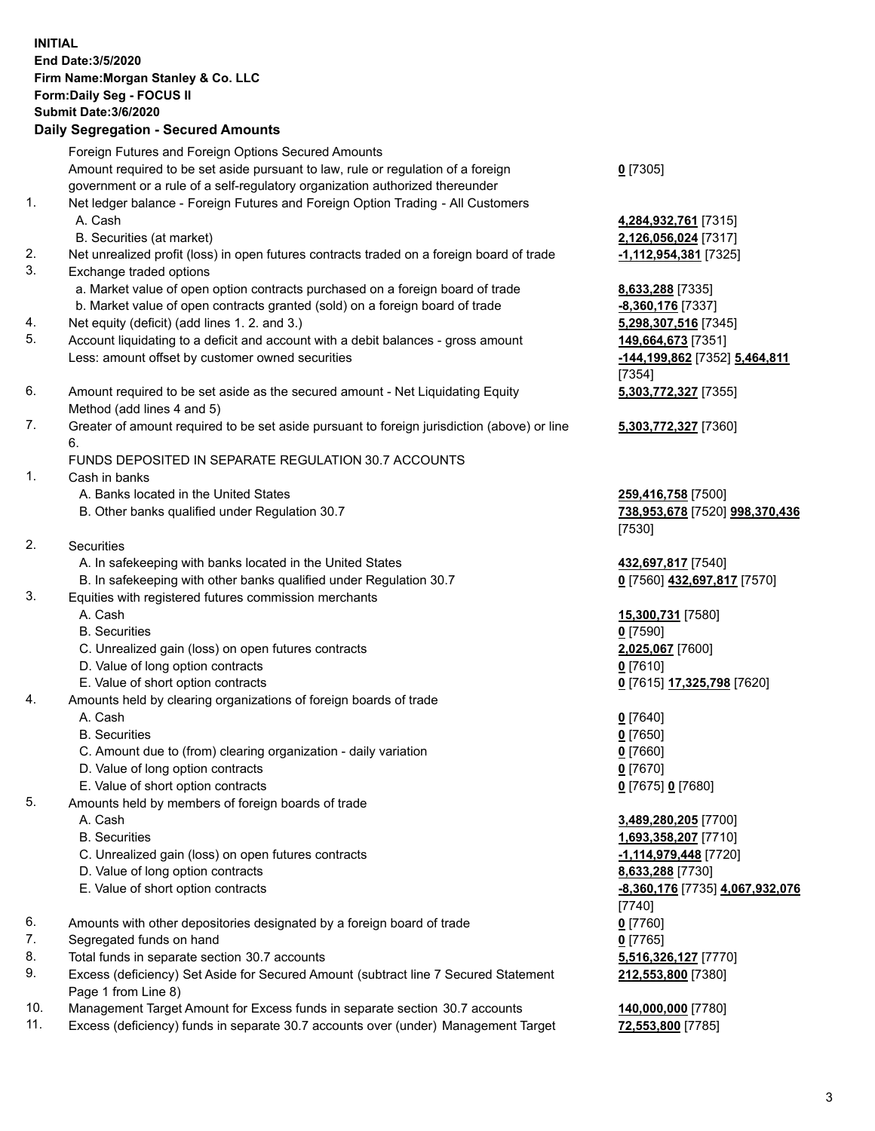|          | <b>INITIAL</b><br>End Date: 3/5/2020<br>Firm Name: Morgan Stanley & Co. LLC<br>Form: Daily Seg - FOCUS II<br>Submit Date: 3/6/2020<br><b>Daily Segregation - Secured Amounts</b> |                                 |
|----------|----------------------------------------------------------------------------------------------------------------------------------------------------------------------------------|---------------------------------|
|          | Foreign Futures and Foreign Options Secured Amounts                                                                                                                              |                                 |
|          | Amount required to be set aside pursuant to law, rule or regulation of a foreign<br>government or a rule of a self-regulatory organization authorized thereunder                 | $0$ [7305]                      |
| 1.       | Net ledger balance - Foreign Futures and Foreign Option Trading - All Customers                                                                                                  |                                 |
|          | A. Cash                                                                                                                                                                          | 4,284,932,761 [7315]            |
|          | B. Securities (at market)                                                                                                                                                        | 2,126,056,024 [7317]            |
| 2.<br>3. | Net unrealized profit (loss) in open futures contracts traded on a foreign board of trade<br>Exchange traded options                                                             | -1,112,954,381 [7325]           |
|          | a. Market value of open option contracts purchased on a foreign board of trade                                                                                                   | 8,633,288 [7335]                |
|          | b. Market value of open contracts granted (sold) on a foreign board of trade                                                                                                     | -8,360,176 [7337]               |
| 4.       | Net equity (deficit) (add lines 1. 2. and 3.)                                                                                                                                    | 5,298,307,516 [7345]            |
| 5.       | Account liquidating to a deficit and account with a debit balances - gross amount                                                                                                | 149,664,673 [7351]              |
|          | Less: amount offset by customer owned securities                                                                                                                                 | -144,199,862 [7352] 5,464,811   |
| 6.       | Amount required to be set aside as the secured amount - Net Liquidating Equity                                                                                                   | [7354]<br>5,303,772,327 [7355]  |
|          | Method (add lines 4 and 5)                                                                                                                                                       |                                 |
| 7.       | Greater of amount required to be set aside pursuant to foreign jurisdiction (above) or line                                                                                      | 5,303,772,327 [7360]            |
|          | 6.                                                                                                                                                                               |                                 |
| 1.       | FUNDS DEPOSITED IN SEPARATE REGULATION 30.7 ACCOUNTS<br>Cash in banks                                                                                                            |                                 |
|          | A. Banks located in the United States                                                                                                                                            | 259,416,758 [7500]              |
|          | B. Other banks qualified under Regulation 30.7                                                                                                                                   | 738,953,678 [7520] 998,370,436  |
|          |                                                                                                                                                                                  | [7530]                          |
| 2.       | <b>Securities</b>                                                                                                                                                                |                                 |
|          | A. In safekeeping with banks located in the United States                                                                                                                        | 432,697,817 [7540]              |
| 3.       | B. In safekeeping with other banks qualified under Regulation 30.7<br>Equities with registered futures commission merchants                                                      | 0 [7560] 432,697,817 [7570]     |
|          | A. Cash                                                                                                                                                                          | 15,300,731 [7580]               |
|          | <b>B.</b> Securities                                                                                                                                                             | $0$ [7590]                      |
|          | C. Unrealized gain (loss) on open futures contracts                                                                                                                              | 2,025,067 [7600]                |
|          | D. Value of long option contracts                                                                                                                                                | $0$ [7610]                      |
| 4.       | E. Value of short option contracts<br>Amounts held by clearing organizations of foreign boards of trade                                                                          | 0 [7615] 17,325,798 [7620]      |
|          | A. Cash                                                                                                                                                                          | $0$ [7640]                      |
|          | <b>B.</b> Securities                                                                                                                                                             | $0$ [7650]                      |
|          | C. Amount due to (from) clearing organization - daily variation                                                                                                                  | $0$ [7660]                      |
|          | D. Value of long option contracts                                                                                                                                                | $0$ [7670]                      |
|          | E. Value of short option contracts                                                                                                                                               | 0 [7675] 0 [7680]               |
| 5.       | Amounts held by members of foreign boards of trade<br>A. Cash                                                                                                                    | 3,489,280,205 [7700]            |
|          | <b>B.</b> Securities                                                                                                                                                             | 1,693,358,207 [7710]            |
|          | C. Unrealized gain (loss) on open futures contracts                                                                                                                              | -1,114,979,448 [7720]           |
|          | D. Value of long option contracts                                                                                                                                                | 8,633,288 [7730]                |
|          | E. Value of short option contracts                                                                                                                                               | -8,360,176 [7735] 4,067,932,076 |
|          |                                                                                                                                                                                  | $[7740]$                        |
| 6.<br>7. | Amounts with other depositories designated by a foreign board of trade<br>Segregated funds on hand                                                                               | $0$ [7760]<br>$0$ [7765]        |
| 8.       | Total funds in separate section 30.7 accounts                                                                                                                                    | 5,516,326,127 [7770]            |
| 9.       | Excess (deficiency) Set Aside for Secured Amount (subtract line 7 Secured Statement                                                                                              | 212,553,800 [7380]              |
|          | Page 1 from Line 8)                                                                                                                                                              |                                 |
| 10.      | Management Target Amount for Excess funds in separate section 30.7 accounts                                                                                                      | 140,000,000 [7780]              |

11. Excess (deficiency) funds in separate 30.7 accounts over (under) Management Target **72,553,800** [7785]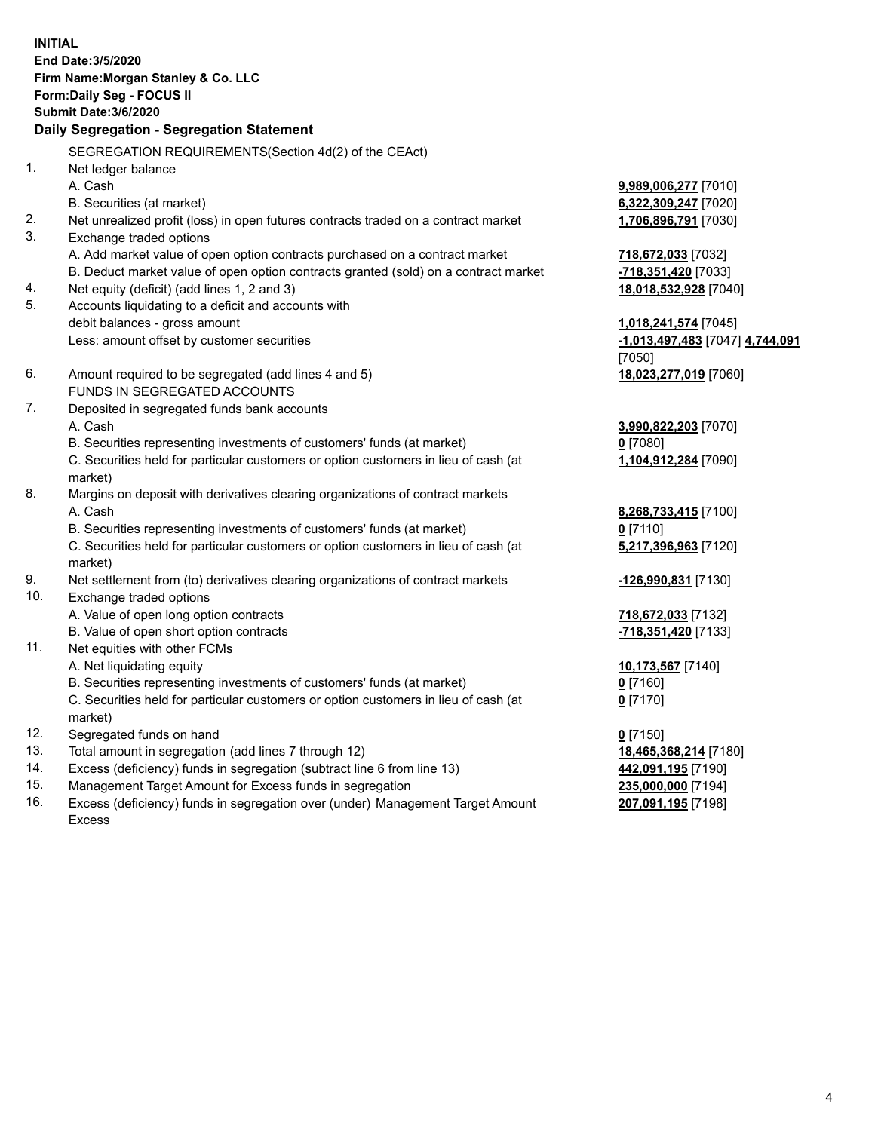|     | <b>INITIAL</b><br>End Date: 3/5/2020<br>Firm Name: Morgan Stanley & Co. LLC         |                                           |
|-----|-------------------------------------------------------------------------------------|-------------------------------------------|
|     | Form: Daily Seg - FOCUS II                                                          |                                           |
|     | <b>Submit Date: 3/6/2020</b>                                                        |                                           |
|     | Daily Segregation - Segregation Statement                                           |                                           |
|     | SEGREGATION REQUIREMENTS(Section 4d(2) of the CEAct)                                |                                           |
| 1.  | Net ledger balance                                                                  |                                           |
|     | A. Cash                                                                             | 9,989,006,277 [7010]                      |
|     | B. Securities (at market)                                                           | 6,322,309,247 [7020]                      |
| 2.  | Net unrealized profit (loss) in open futures contracts traded on a contract market  | 1,706,896,791 [7030]                      |
| 3.  | Exchange traded options                                                             |                                           |
|     | A. Add market value of open option contracts purchased on a contract market         | 718,672,033 [7032]                        |
|     | B. Deduct market value of open option contracts granted (sold) on a contract market | -718,351,420 [7033]                       |
| 4.  | Net equity (deficit) (add lines 1, 2 and 3)                                         | 18,018,532,928 [7040]                     |
| 5.  | Accounts liquidating to a deficit and accounts with                                 |                                           |
|     | debit balances - gross amount                                                       | 1,018,241,574 [7045]                      |
|     | Less: amount offset by customer securities                                          | -1,013,497,483 [7047] 4,744,091<br>[7050] |
| 6.  | Amount required to be segregated (add lines 4 and 5)                                | 18,023,277,019 [7060]                     |
|     | FUNDS IN SEGREGATED ACCOUNTS                                                        |                                           |
| 7.  | Deposited in segregated funds bank accounts                                         |                                           |
|     | A. Cash                                                                             | 3,990,822,203 [7070]                      |
|     | B. Securities representing investments of customers' funds (at market)              | $0$ [7080]                                |
|     | C. Securities held for particular customers or option customers in lieu of cash (at | 1,104,912,284 [7090]                      |
|     | market)                                                                             |                                           |
| 8.  | Margins on deposit with derivatives clearing organizations of contract markets      |                                           |
|     | A. Cash                                                                             | 8,268,733,415 [7100]                      |
|     | B. Securities representing investments of customers' funds (at market)              | $0$ [7110]                                |
|     | C. Securities held for particular customers or option customers in lieu of cash (at | 5,217,396,963 [7120]                      |
|     | market)                                                                             |                                           |
| 9.  | Net settlement from (to) derivatives clearing organizations of contract markets     | -126,990,831 [7130]                       |
| 10. | Exchange traded options                                                             |                                           |
|     | A. Value of open long option contracts                                              | 718,672,033 [7132]                        |
|     | B. Value of open short option contracts                                             | -718,351,420 [7133]                       |
| 11. | Net equities with other FCMs                                                        |                                           |
|     | A. Net liquidating equity                                                           | 10,173,567 [7140]                         |
|     | B. Securities representing investments of customers' funds (at market)              | $0$ [7160]                                |
|     | C. Securities held for particular customers or option customers in lieu of cash (at | $0$ [7170]                                |
|     | market)                                                                             |                                           |
| 12. | Segregated funds on hand                                                            | $0$ [7150]                                |
| 13. | Total amount in segregation (add lines 7 through 12)                                | 18,465,368,214 [7180]                     |
| 14. | Excess (deficiency) funds in segregation (subtract line 6 from line 13)             | 442,091,195 [7190]                        |
| 15. | Management Target Amount for Excess funds in segregation                            | 235,000,000 [7194]                        |
| 16. | Excess (deficiency) funds in segregation over (under) Management Target Amount      | 207,091,195 [7198]                        |
|     | Excess                                                                              |                                           |